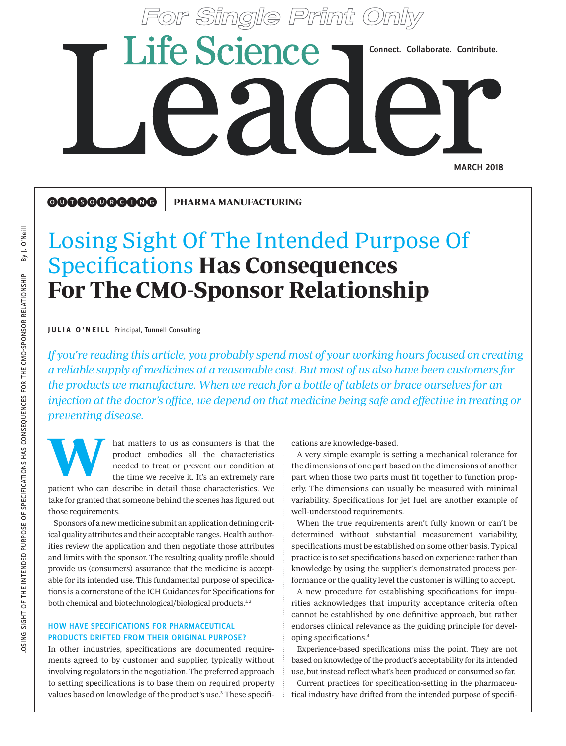# **Life Science** Connect. Collaborate. Contribute. **MARCH 2018**

**OOOGOOGOOG** PHARMA MANUFACTURING

## Losing Sight Of The Intended Purpose Of Specifications Has Consequences For The CMO-Sponsor Relationship

**JULIA O'NEILL** Principal, Tunnell Consulting

If you're reading this article, you probably spend most of your working hours focused on creating a reliable supply of medicines at a reasonable cost. But most of us also have been customers for the products we manufacture. When we reach for a bottle of tablets or brace ourselves for an injection at the doctor's office, we depend on that medicine being safe and effective in treating or preventing disease.

hat matters to us as consumers is that the product embodies all the characteristics needed to treat or prevent our condition at the time we receive it. It's an extremely rare and the matters to us as consumers is that the cations are knowledge-based.<br>
product embodies all the characteristics are knowledge-based.<br>
A very simple example is seeded to treat or prevent our condition at the dimension

patient who can describe in detail those characteristics. We take for granted that someone behind the scenes has figured out those requirements.

Sponsors of a new medicine submit an application defining critical quality attributes and their acceptable ranges. Health authorities review the application and then negotiate those attributes and limits with the sponsor. The resulting quality profile should provide us (consumers) assurance that the medicine is acceptable for its intended use. This fundamental purpose of specifications is a cornerstone of the ICH Guidances for Specifications for both chemical and biotechnological/biological products.<sup>1,2</sup>

### HOW HAVE SPECIFICATIONS FOR PHARMACEUTICAL PRODUCTS DRIFTED FROM THEIR ORIGINAL PURPOSE?

In other industries, specifications are documented requirements agreed to by customer and supplier, typically without involving regulators in the negotiation. The preferred approach to setting specifications is to base them on required property values based on knowledge of the product's use.<sup>3</sup> These specifi-

A very simple example is setting a mechanical tolerance for the dimensions of one part based on the dimensions of another part when those two parts must fit together to function properly. The dimensions can usually be measured with minimal variability. Specifications for jet fuel are another example of well-understood requirements.

When the true requirements aren't fully known or can't be determined without substantial measurement variability, specifications must be established on some other basis. Typical practice is to set specifications based on experience rather than knowledge by using the supplier's demonstrated process performance or the quality level the customer is willing to accept.

A new procedure for establishing specifications for impurities acknowledges that impurity acceptance criteria often cannot be established by one definitive approach, but rather endorses clinical relevance as the guiding principle for developing specifications.4

Experience-based specifications miss the point. They are not based on knowledge of the product's acceptability for its intended use, but instead reflect what's been produced or consumed so far.

Current practices for specification-setting in the pharmaceutical industry have drifted from the intended purpose of specifi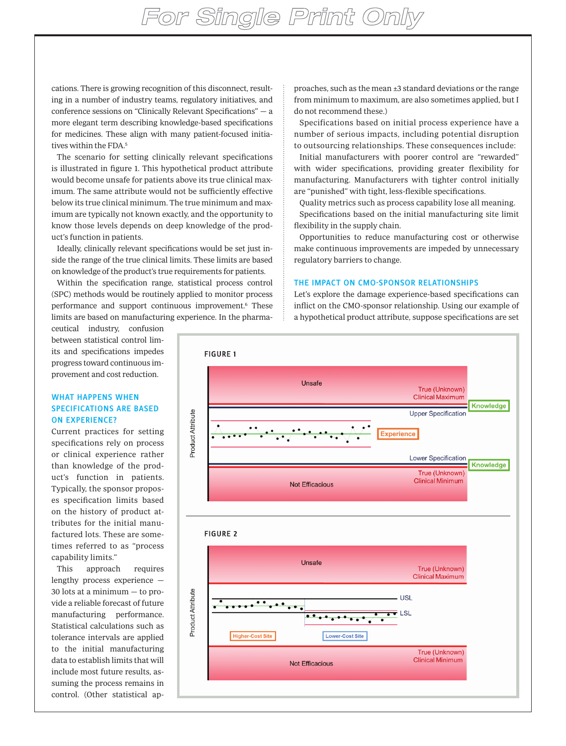cations. There is growing recognition of this disconnect, resulting in a number of industry teams, regulatory initiatives, and conference sessions on "Clinically Relevant Specifications" — a more elegant term describing knowledge-based specifications for medicines. These align with many patient-focused initiatives within the FDA.5

The scenario for setting clinically relevant specifications is illustrated in figure 1. This hypothetical product attribute would become unsafe for patients above its true clinical maximum. The same attribute would not be sufficiently effective below its true clinical minimum. The true minimum and maximum are typically not known exactly, and the opportunity to know those levels depends on deep knowledge of the product's function in patients.

Ideally, clinically relevant specifications would be set just inside the range of the true clinical limits. These limits are based on knowledge of the product's true requirements for patients.

Within the specification range, statistical process control (SPC) methods would be routinely applied to monitor process performance and support continuous improvement.<sup>6</sup> These limits are based on manufacturing experience. In the pharma-

ceutical industry, confusion between statistical control limits and specifications impedes progress toward continuous improvement and cost reduction.

#### WHAT HAPPENS WHEN SPECIFICATIONS ARE BASED ON EXPERIENCE?

Current practices for setting specifications rely on process or clinical experience rather than knowledge of the product's function in patients. Typically, the sponsor proposes specification limits based on the history of product attributes for the initial manufactured lots. These are sometimes referred to as "process capability limits."

This approach requires lengthy process experience — 30 lots at a minimum — to provide a reliable forecast of future manufacturing performance. Statistical calculations such as tolerance intervals are applied to the initial manufacturing data to establish limits that will include most future results, assuming the process remains in control. (Other statistical approaches, such as the mean ±3 standard deviations or the range from minimum to maximum, are also sometimes applied, but I do not recommend these.)

Specifications based on initial process experience have a number of serious impacts, including potential disruption to outsourcing relationships. These consequences include:

Initial manufacturers with poorer control are "rewarded" with wider specifications, providing greater flexibility for manufacturing. Manufacturers with tighter control initially are "punished" with tight, less-flexible specifications.

Quality metrics such as process capability lose all meaning. Specifications based on the initial manufacturing site limit

flexibility in the supply chain. Opportunities to reduce manufacturing cost or otherwise make continuous improvements are impeded by unnecessary

#### THE IMPACT ON CMO-SPONSOR RELATIONSHIPS

regulatory barriers to change.

Let's explore the damage experience-based specifications can inflict on the CMO-sponsor relationship. Using our example of a hypothetical product attribute, suppose specifications are set